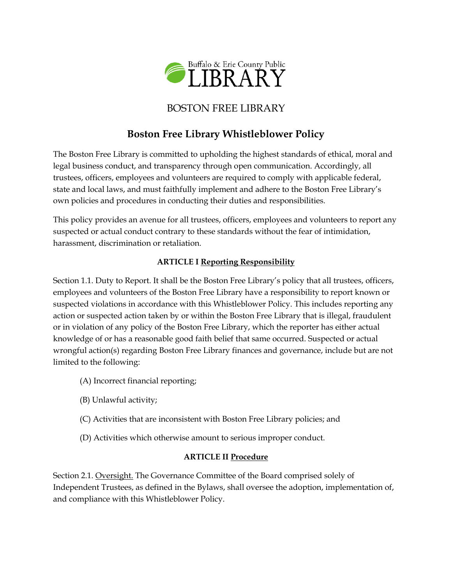

# BOSTON FREE LIBRARY

# **Boston Free Library Whistleblower Policy**

The Boston Free Library is committed to upholding the highest standards of ethical, moral and legal business conduct, and transparency through open communication. Accordingly, all trustees, officers, employees and volunteers are required to comply with applicable federal, state and local laws, and must faithfully implement and adhere to the Boston Free Library's own policies and procedures in conducting their duties and responsibilities.

This policy provides an avenue for all trustees, officers, employees and volunteers to report any suspected or actual conduct contrary to these standards without the fear of intimidation, harassment, discrimination or retaliation.

### **ARTICLE I Reporting Responsibility**

Section 1.1. Duty to Report. It shall be the Boston Free Library's policy that all trustees, officers, employees and volunteers of the Boston Free Library have a responsibility to report known or suspected violations in accordance with this Whistleblower Policy. This includes reporting any action or suspected action taken by or within the Boston Free Library that is illegal, fraudulent or in violation of any policy of the Boston Free Library, which the reporter has either actual knowledge of or has a reasonable good faith belief that same occurred. Suspected or actual wrongful action(s) regarding Boston Free Library finances and governance, include but are not limited to the following:

- (A) Incorrect financial reporting;
- (B) Unlawful activity;
- (C) Activities that are inconsistent with Boston Free Library policies; and
- (D) Activities which otherwise amount to serious improper conduct.

#### **ARTICLE II Procedure**

Section 2.1. Oversight. The Governance Committee of the Board comprised solely of Independent Trustees, as defined in the Bylaws, shall oversee the adoption, implementation of, and compliance with this Whistleblower Policy.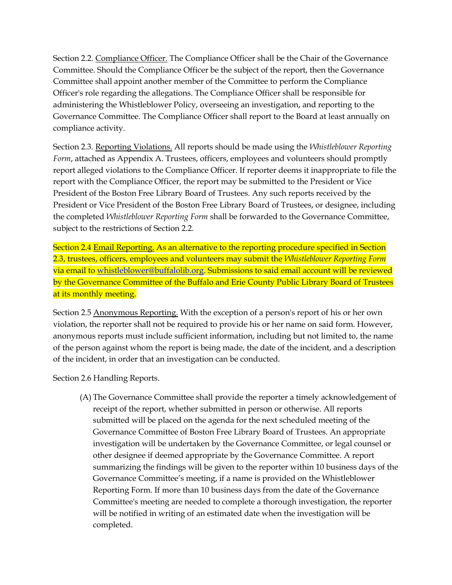Section 2.2. Compliance Officer. The Compliance Officer shall be the Chair of the Governance Committee. Should the Compliance Officer be the subject of the report, then the Governance Committee shall appoint another member of the Committee to perform the Compliance Officer's role regarding the allegations. The Compliance Officer shall be responsible for administering the Whistleblower Policy, overseeing an investigation, and reporting to the Governance Committee. The Compliance Officer shall report to the Board at least annually on compliance activity.

Section 2.3. Reporting Violations. All reports should be made using the *Whistleblower Reporting Form*, attached as Appendix A. Trustees, officers, employees and volunteers should promptly report alleged violations to the Compliance Officer. If reporter deems it inappropriate to file the report with the Compliance Officer, the report may be submitted to the President or Vice President of the Boston Free Library Board of Trustees. Any such reports received by the President or Vice President of the Boston Free Library Board of Trustees, or designee, including the completed *Whistleblower Reporting Form* shall be forwarded to the Governance Committee, subject to the restrictions of Section 2.2.

Section 2.4 Email Reporting. As an alternative to the reporting procedure specified in Section 2.3, trustees, officers, employees and volunteers may submit the *Whistleblower Reporting Form*  via email t[o whistleblower@buffalolib.org.](mailto:whistleblower@buffalolib.org) Submissions to said email account will be reviewed by the Governance Committee of the Buffalo and Erie County Public Library Board of Trustees at its monthly meeting.

Section 2.5 Anonymous Reporting. With the exception of a person's report of his or her own violation, the reporter shall not be required to provide his or her name on said form. However, anonymous reports must include sufficient information, including but not limited to, the name of the person against whom the report is being made, the date of the incident, and a description of the incident, in order that an investigation can be conducted.

Section 2.6 Handling Reports.

(A) The Governance Committee shall provide the reporter a timely acknowledgement of receipt of the report, whether submitted in person or otherwise. All reports submitted will be placed on the agenda for the next scheduled meeting of the Governance Committee of Boston Free Library Board of Trustees. An appropriate investigation will be undertaken by the Governance Committee, or legal counsel or other designee if deemed appropriate by the Governance Committee. A report summarizing the findings will be given to the reporter within 10 business days of the Governance Committee's meeting, if a name is provided on the Whistleblower Reporting Form. If more than 10 business days from the date of the Governance Committee's meeting are needed to complete a thorough investigation, the reporter will be notified in writing of an estimated date when the investigation will be completed.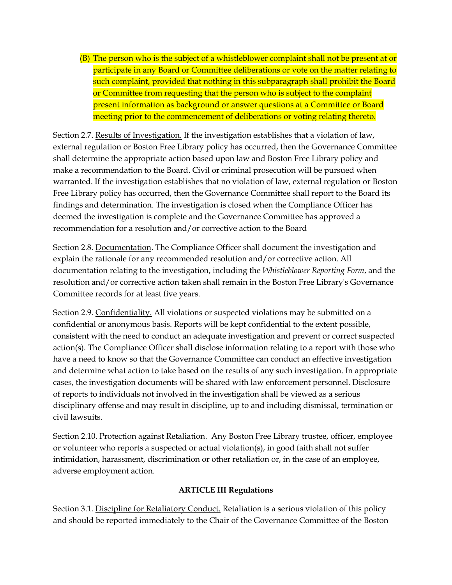(B) The person who is the subject of a whistleblower complaint shall not be present at or participate in any Board or Committee deliberations or vote on the matter relating to such complaint, provided that nothing in this subparagraph shall prohibit the Board or Committee from requesting that the person who is subject to the complaint present information as background or answer questions at a Committee or Board meeting prior to the commencement of deliberations or voting relating thereto.

Section 2.7. Results of Investigation. If the investigation establishes that a violation of law, external regulation or Boston Free Library policy has occurred, then the Governance Committee shall determine the appropriate action based upon law and Boston Free Library policy and make a recommendation to the Board. Civil or criminal prosecution will be pursued when warranted. If the investigation establishes that no violation of law, external regulation or Boston Free Library policy has occurred, then the Governance Committee shall report to the Board its findings and determination. The investigation is closed when the Compliance Officer has deemed the investigation is complete and the Governance Committee has approved a recommendation for a resolution and/or corrective action to the Board

Section 2.8. Documentation. The Compliance Officer shall document the investigation and explain the rationale for any recommended resolution and/or corrective action. All documentation relating to the investigation, including the *Whistleblower Reporting Form*, and the resolution and/or corrective action taken shall remain in the Boston Free Library's Governance Committee records for at least five years.

Section 2.9. Confidentiality. All violations or suspected violations may be submitted on a confidential or anonymous basis. Reports will be kept confidential to the extent possible, consistent with the need to conduct an adequate investigation and prevent or correct suspected action(s). The Compliance Officer shall disclose information relating to a report with those who have a need to know so that the Governance Committee can conduct an effective investigation and determine what action to take based on the results of any such investigation. In appropriate cases, the investigation documents will be shared with law enforcement personnel. Disclosure of reports to individuals not involved in the investigation shall be viewed as a serious disciplinary offense and may result in discipline, up to and including dismissal, termination or civil lawsuits.

Section 2.10. Protection against Retaliation. Any Boston Free Library trustee, officer, employee or volunteer who reports a suspected or actual violation(s), in good faith shall not suffer intimidation, harassment, discrimination or other retaliation or, in the case of an employee, adverse employment action.

#### **ARTICLE III Regulations**

Section 3.1. Discipline for Retaliatory Conduct. Retaliation is a serious violation of this policy and should be reported immediately to the Chair of the Governance Committee of the Boston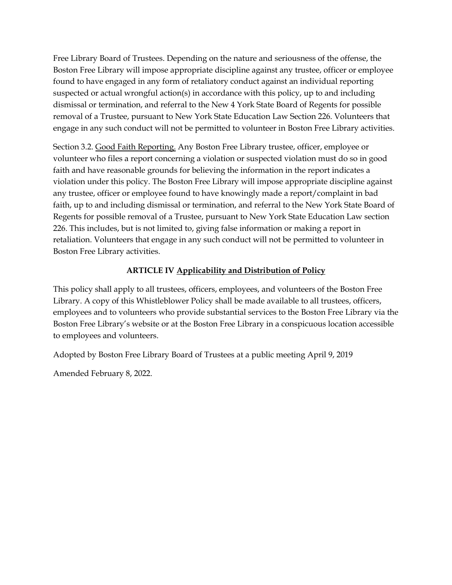Free Library Board of Trustees. Depending on the nature and seriousness of the offense, the Boston Free Library will impose appropriate discipline against any trustee, officer or employee found to have engaged in any form of retaliatory conduct against an individual reporting suspected or actual wrongful action(s) in accordance with this policy, up to and including dismissal or termination, and referral to the New 4 York State Board of Regents for possible removal of a Trustee, pursuant to New York State Education Law Section 226. Volunteers that engage in any such conduct will not be permitted to volunteer in Boston Free Library activities.

Section 3.2. Good Faith Reporting. Any Boston Free Library trustee, officer, employee or volunteer who files a report concerning a violation or suspected violation must do so in good faith and have reasonable grounds for believing the information in the report indicates a violation under this policy. The Boston Free Library will impose appropriate discipline against any trustee, officer or employee found to have knowingly made a report/complaint in bad faith, up to and including dismissal or termination, and referral to the New York State Board of Regents for possible removal of a Trustee, pursuant to New York State Education Law section 226. This includes, but is not limited to, giving false information or making a report in retaliation. Volunteers that engage in any such conduct will not be permitted to volunteer in Boston Free Library activities.

### **ARTICLE IV Applicability and Distribution of Policy**

This policy shall apply to all trustees, officers, employees, and volunteers of the Boston Free Library. A copy of this Whistleblower Policy shall be made available to all trustees, officers, employees and to volunteers who provide substantial services to the Boston Free Library via the Boston Free Library's website or at the Boston Free Library in a conspicuous location accessible to employees and volunteers.

Adopted by Boston Free Library Board of Trustees at a public meeting April 9, 2019

Amended February 8, 2022.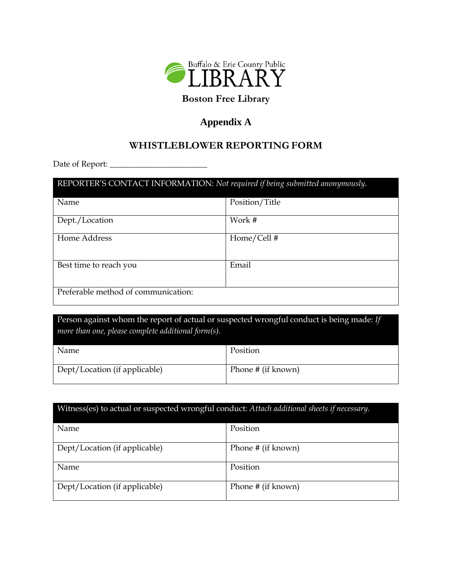

# **Boston Free Library**

## **Appendix A**

## **WHISTLEBLOWER REPORTING FORM**

Date of Report: \_\_\_\_\_\_\_\_\_\_\_\_\_\_\_\_\_\_\_\_\_\_\_\_

| REPORTER'S CONTACT INFORMATION: Not required if being submitted anonymously. |                |  |  |  |  |
|------------------------------------------------------------------------------|----------------|--|--|--|--|
| Name                                                                         | Position/Title |  |  |  |  |
| Dept./Location                                                               | Work #         |  |  |  |  |
| Home Address                                                                 | Home/Cell#     |  |  |  |  |
| Best time to reach you                                                       | Email          |  |  |  |  |
| Preferable method of communication:                                          |                |  |  |  |  |

Person against whom the report of actual or suspected wrongful conduct is being made: *If more than one, please complete additional form(s).*

| Name                          | Position           |
|-------------------------------|--------------------|
| Dept/Location (if applicable) | Phone # (if known) |

| Witness(es) to actual or suspected wrongful conduct: Attach additional sheets if necessary. |                    |  |  |  |  |
|---------------------------------------------------------------------------------------------|--------------------|--|--|--|--|
| <b>Name</b>                                                                                 | Position           |  |  |  |  |
| Dept/Location (if applicable)                                                               | Phone # (if known) |  |  |  |  |
| Name                                                                                        | Position           |  |  |  |  |
| Dept/Location (if applicable)                                                               | Phone # (if known) |  |  |  |  |